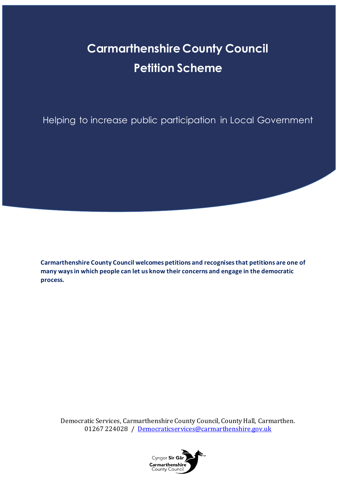# **Carmarthenshire County Council Petition Scheme**

Helping to increase public participation in Local Government

**Carmarthenshire County Council welcomes petitions and recognises that petitions are one of many waysin which people can let us know their concerns and engage in the democratic process.**

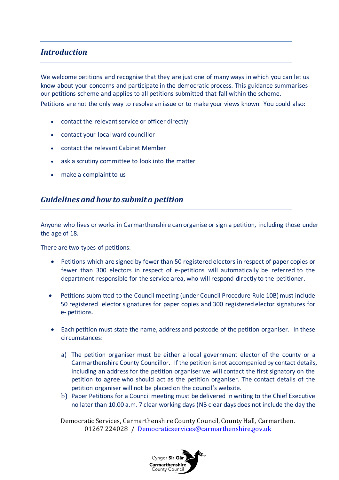## *Introduction*

We welcome petitions and recognise that they are just one of many ways in which you can let us know about your concerns and participate in the democratic process. This guidance summarises our petitions scheme and applies to all petitions submitted that fall within the scheme.

Petitions are not the only way to resolve an issue or to make your views known. You could also:

- contact the relevant service or officer directly
- contact your local ward councillor
- contact the relevant Cabinet Member
- ask a scrutiny committee to look into the matter
- make a complaint to us

## *Guidelines and how to submit a petition*

Anyone who lives or works in Carmarthenshire can organise or sign a petition, including those under the age of 18.

There are two types of petitions:

- Petitions which are signed by fewer than 50 registered electors in respect of paper copies or fewer than 300 electors in respect of e-petitions will automatically be referred to the department responsible for the service area, who will respond directly to the petitioner.
- Petitions submitted to the Council meeting (under Council Procedure Rule 10B) must include 50 registered elector signatures for paper copies and 300 registered elector signatures for e- petitions.
- Each petition must state the name, address and postcode of the petition organiser. In these circumstances:
	- a) The petition organiser must be either a local government elector of the county or a Carmarthenshire County Councillor. If the petition is not accompanied by contact details, including an address for the petition organiser we will contact the first signatory on the petition to agree who should act as the petition organiser. The contact details of the petition organiser will not be placed on the council's website.
	- b) Paper Petitions for a Council meeting must be delivered in writing to the Chief Executive no later than 10.00 a.m. 7 clear working days (NB clear days does not include the day the

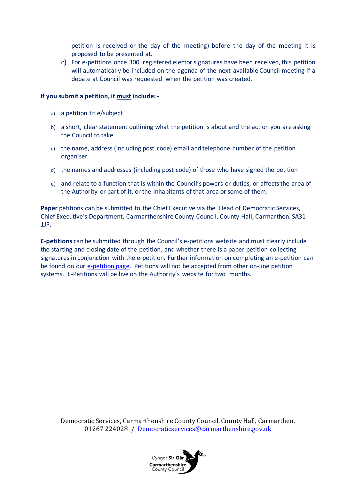petition is received or the day of the meeting) before the day of the meeting it is proposed to be presented at.

c) For e-petitions once 300 registered elector signatures have been received, this petition will automatically be included on the agenda of the next available Council meeting if a debate at Council was requested when the petition was created.

#### **If you submit a petition, it must include: -**

- a) a petition title/subject
- b) a short, clear statement outlining what the petition is about and the action you are asking the Council to take
- c) the name, address (including post code) email and telephone number of the petition organiser
- d) the names and addresses (including post code) of those who have signed the petition
- e) and relate to a function that is within the Council's powers or duties, or affects the area of the Authority or part of it, or the inhabitants of that area or some of them.

**Paper** petitions can be submitted to the Chief Executive via the Head of Democratic Services, Chief Executive's Department, Carmarthenshire County Council, County Hall, Carmarthen. SA31 1JP.

**E-petitions** can be submitted through the Council's e-petitions website and must clearly include the starting and closing date of the petition, and whether there is a paper petition collecting signatures in conjunction with the e-petition. Further information on completing an e-petition can be found on our [e-petition page.](https://democracy.carmarthenshire.gov.wales/mgEPetitionListDisplay.aspx?bcr=1) Petitions will not be accepted from other on-line petition systems. E-Petitions will be live on the Authority's website for two months.

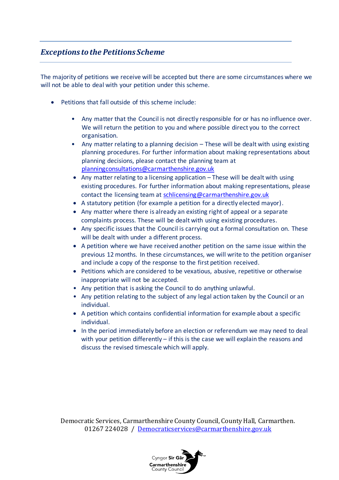## *Exceptions to the Petitions Scheme*

The majority of petitions we receive will be accepted but there are some circumstances where we will not be able to deal with your petition under this scheme.

- Petitions that fall outside of this scheme include:
	- Any matter that the Council is not directly responsible for or has no influence over. We will return the petition to you and where possible direct you to the correct organisation.
	- Any matter relating to a planning decision These will be dealt with using existing planning procedures. For further information about making representations about planning decisions, please contact the planning team at [planningconsultations@carmarthenshire.gov.uk](mailto:planningconsultations@carmarthenshire.gov.uk)
	- Any matter relating to a licensing application These will be dealt with using existing procedures. For further information about making representations, please contact the licensing team a[t schlicensing@carmarthenshire.gov.uk](mailto:schlicensing@carmarthenshire.gov.uk)
	- A statutory petition (for example a petition for a directly elected mayor).
	- Any matter where there is already an existing right of appeal or a separate complaints process. These will be dealt with using existing procedures.
	- Any specific issues that the Council is carrying out a formal consultation on. These will be dealt with under a different process.
	- A petition where we have received another petition on the same issue within the previous 12 months. In these circumstances, we will write to the petition organiser and include a copy of the response to the first petition received.
	- Petitions which are considered to be vexatious, abusive, repetitive or otherwise inappropriate will not be accepted.
	- Any petition that is asking the Council to do anything unlawful.
	- Any petition relating to the subject of any legal action taken by the Council or an individual.
	- A petition which contains confidential information for example about a specific individual.
	- In the period immediately before an election or referendum we may need to deal with your petition differently – if this is the case we will explain the reasons and discuss the revised timescale which will apply.

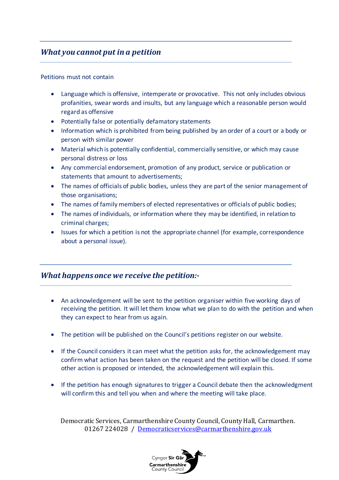# *What you cannot put in a petition*

#### Petitions must not contain

- Language which is offensive, intemperate or provocative. This not only includes obvious profanities, swear words and insults, but any language which a reasonable person would regard as offensive
- Potentially false or potentially defamatory statements
- Information which is prohibited from being published by an order of a court or a body or person with similar power
- Material which is potentially confidential, commercially sensitive, or which may cause personal distress or loss
- Any commercial endorsement, promotion of any product, service or publication or statements that amount to advertisements;
- The names of officials of public bodies, unless they are part of the senior management of those organisations;
- The names of family members of elected representatives or officials of public bodies;
- The names of individuals, or information where they may be identified, in relation to criminal charges;
- Issues for which a petition is not the appropriate channel (for example, correspondence about a personal issue).

## *What happens once we receive the petition:-*

- An acknowledgement will be sent to the petition organiser within five working days of receiving the petition. It will let them know what we plan to do with the petition and when they can expect to hear from us again.
- The petition will be published on the Council's petitions register on our website.
- If the Council considers it can meet what the petition asks for, the acknowledgement may confirm what action has been taken on the request and the petition will be closed. If some other action is proposed or intended, the acknowledgement will explain this.
- If the petition has enough signatures to trigger a Council debate then the acknowledgment will confirm this and tell you when and where the meeting will take place.

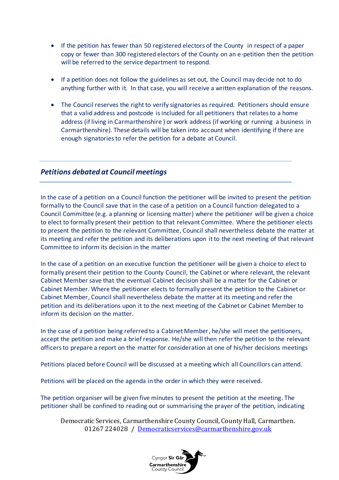- If the petition has fewer than 50 registered electors of the County in respect of a paper copy or fewer than 300 registered electors of the County on an e-petition then the petition will be referred to the service department to respond.
- If a petition does not follow the guidelines as set out, the Council may decide not to do anything further with it. In that case, you will receive a written explanation of the reasons.
- The Council reserves the right to verify signatories as required. Petitioners should ensure that a valid address and postcode is included for all petitioners that relates to a home address (if living in Carmarthenshire ) or work address (if working or running a business in Carmarthenshire). These details will be taken into account when identifying if there are enough signatories to refer the petition for a debate at Council.

#### *Petitions debated at Council meetings*

In the case of a petition on a Council function the petitioner will be invited to present the petition formally to the Council save that in the case of a petition on a Council function delegated to a Council Committee (e.g. a planning or licensing matter) where the petitioner will be given a choice to elect to formally present their petition to that relevant Committee. Where the petitioner elects to present the petition to the relevant Committee, Council shall nevertheless debate the matter at its meeting and refer the petition and its deliberations upon it to the next meeting of that relevant Committee to inform its decision in the matter

In the case of a petition on an executive function the petitioner will be given a choice to elect to formally present their petition to the County Council, the Cabinet or where relevant, the relevant Cabinet Member save that the eventual Cabinet decision shall be a matter for the Cabinet or Cabinet Member. Where the petitioner elects to formally present the petition to the Cabinet or Cabinet Member, Council shall nevertheless debate the matter at its meeting and refer the petition and its deliberations upon it to the next meeting of the Cabinet or Cabinet Member to inform its decision on the matter.

In the case of a petition being referred to a Cabinet Member, he/she will meet the petitioners, accept the petition and make a brief response. He/she will then refer the petition to the relevant officers to prepare a report on the matter for consideration at one of his/her decisions meetings

Petitions placed before Council will be discussed at a meeting which all Councillors can attend.

Petitions will be placed on the agenda in the order in which they were received.

The petition organiser will be given five minutes to present the petition at the meeting. The petitioner shall be confined to reading out or summarising the prayer of the petition, indicating

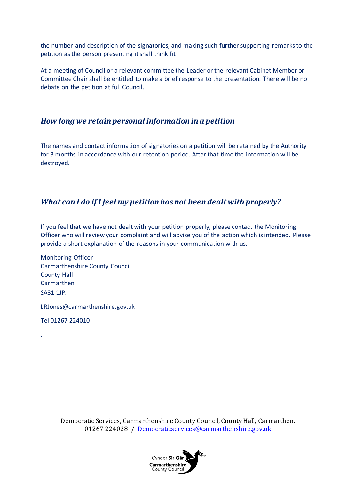the number and description of the signatories, and making such further supporting remarks to the petition as the person presenting it shall think fit

At a meeting of Council or a relevant committee the Leader or the relevant Cabinet Member or Committee Chair shall be entitled to make a brief response to the presentation. There will be no debate on the petition at full Council.

#### *How long we retain personal information in a petition*

The names and contact information of signatories on a petition will be retained by the Authority for 3 months in accordance with our retention period. After that time the information will be destroyed.

## *What can I do if I feel my petition has not been dealt with properly?*

If you feel that we have not dealt with your petition properly, please contact the Monitoring Officer who will review your complaint and will advise you of the action which is intended. Please provide a short explanation of the reasons in your communication with us.

Monitoring Officer Carmarthenshire County Council County Hall Carmarthen SA31 1JP.

[LRJones@carmarthenshire.gov.uk](mailto:LRJones@carmarthenshire.gov.uk)

Tel 01267 224010

.

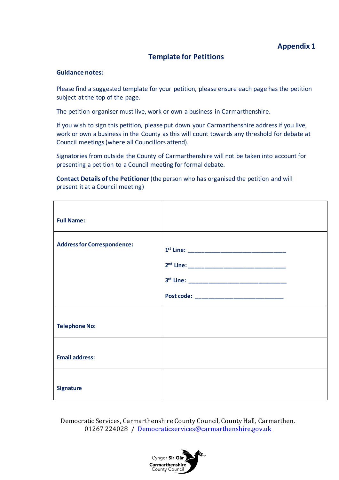#### **Template for Petitions**

#### **Guidance notes:**

Please find a suggested template for your petition, please ensure each page has the petition subject at the top of the page.

The petition organiser must live, work or own a business in Carmarthenshire.

If you wish to sign this petition, please put down your Carmarthenshire address if you live, work or own a business in the County as this will count towards any threshold for debate at Council meetings (where all Councillors attend).

Signatories from outside the County of Carmarthenshire will not be taken into account for presenting a petition to a Council meeting for formal debate.

**Contact Details of the Petitioner** (the person who has organised the petition and will present it at a Council meeting)

| <b>Full Name:</b>                  |                                              |
|------------------------------------|----------------------------------------------|
| <b>Address for Correspondence:</b> | Post code: _________________________________ |
| <b>Telephone No:</b>               |                                              |
| <b>Email address:</b>              |                                              |
| <b>Signature</b>                   |                                              |

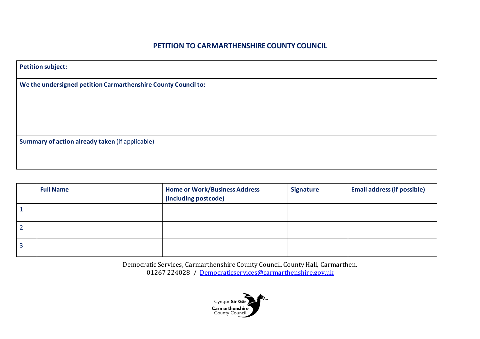#### **PETITION TO CARMARTHENSHIRE COUNTY COUNCIL**

| <b>Petition subject:</b>                                       |  |  |  |  |
|----------------------------------------------------------------|--|--|--|--|
| We the undersigned petition Carmarthenshire County Council to: |  |  |  |  |
|                                                                |  |  |  |  |
|                                                                |  |  |  |  |
| Summary of action already taken (if applicable)                |  |  |  |  |
|                                                                |  |  |  |  |
|                                                                |  |  |  |  |

| <b>Full Name</b> | <b>Home or Work/Business Address</b><br>(including postcode) | <b>Signature</b> | <b>Email address (if possible)</b> |
|------------------|--------------------------------------------------------------|------------------|------------------------------------|
|                  |                                                              |                  |                                    |
|                  |                                                              |                  |                                    |
|                  |                                                              |                  |                                    |

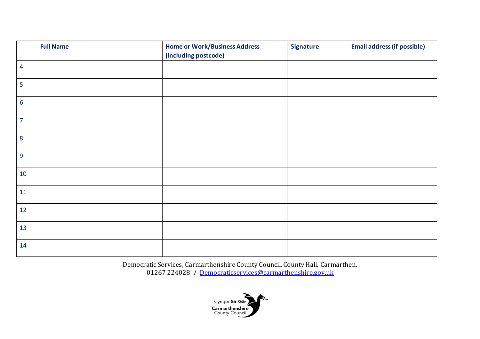|                | <b>Full Name</b> | <b>Home or Work/Business Address</b><br>(including postcode) | <b>Signature</b> | <b>Email address (if possible)</b> |
|----------------|------------------|--------------------------------------------------------------|------------------|------------------------------------|
| $\overline{4}$ |                  |                                                              |                  |                                    |
| 5              |                  |                                                              |                  |                                    |
| $6\phantom{a}$ |                  |                                                              |                  |                                    |
| $\overline{7}$ |                  |                                                              |                  |                                    |
| 8              |                  |                                                              |                  |                                    |
| 9              |                  |                                                              |                  |                                    |
| 10             |                  |                                                              |                  |                                    |
| 11             |                  |                                                              |                  |                                    |
| 12             |                  |                                                              |                  |                                    |
| 13             |                  |                                                              |                  |                                    |
| 14             |                  |                                                              |                  |                                    |

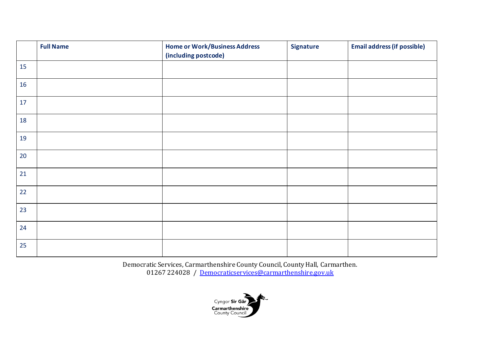|    | <b>Full Name</b> | <b>Home or Work/Business Address</b><br>(including postcode) | Signature | <b>Email address (if possible)</b> |
|----|------------------|--------------------------------------------------------------|-----------|------------------------------------|
| 15 |                  |                                                              |           |                                    |
| 16 |                  |                                                              |           |                                    |
| 17 |                  |                                                              |           |                                    |
| 18 |                  |                                                              |           |                                    |
| 19 |                  |                                                              |           |                                    |
| 20 |                  |                                                              |           |                                    |
| 21 |                  |                                                              |           |                                    |
| 22 |                  |                                                              |           |                                    |
| 23 |                  |                                                              |           |                                    |
| 24 |                  |                                                              |           |                                    |
| 25 |                  |                                                              |           |                                    |